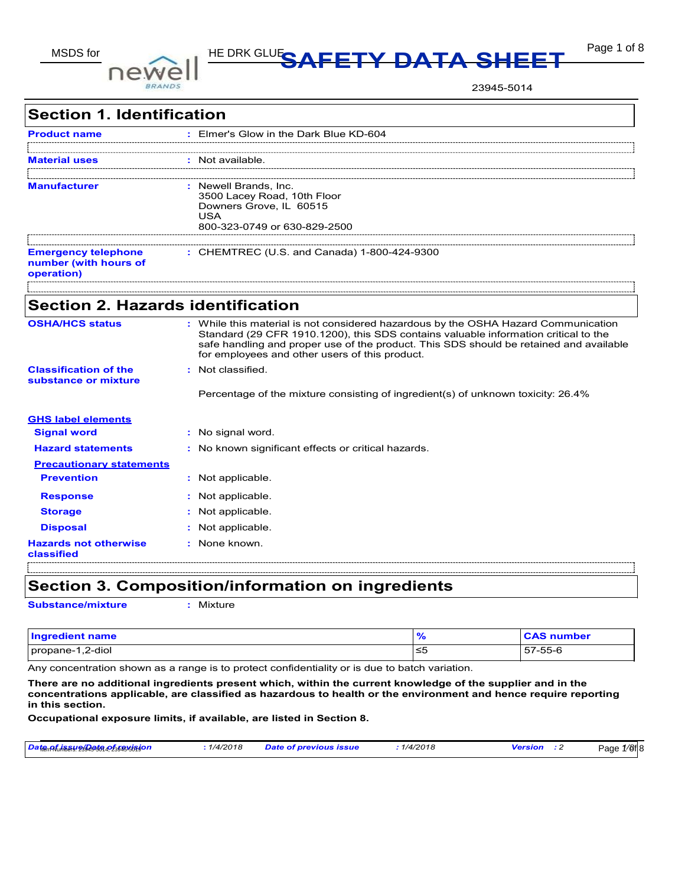

# MSDS for **DOIMOLL** HE DRK GLUE**SAFETY DATA SHEET** Page 1 of 8

23945-5014

| <b>Section 1. Identification</b>                                  |                                                                                                                                                                                                                                                                                                                       |
|-------------------------------------------------------------------|-----------------------------------------------------------------------------------------------------------------------------------------------------------------------------------------------------------------------------------------------------------------------------------------------------------------------|
| <b>Product name</b>                                               | : Elmer's Glow in the Dark Blue KD-604                                                                                                                                                                                                                                                                                |
| <b>Material uses</b>                                              | : Not available.                                                                                                                                                                                                                                                                                                      |
| <b>Manufacturer</b>                                               | : Newell Brands, Inc.<br>3500 Lacey Road, 10th Floor<br>Downers Grove, IL 60515<br>USA<br>800-323-0749 or 630-829-2500                                                                                                                                                                                                |
| <b>Emergency telephone</b><br>number (with hours of<br>operation) | : CHEMTREC (U.S. and Canada) 1-800-424-9300                                                                                                                                                                                                                                                                           |
| <b>Section 2. Hazards identification</b>                          |                                                                                                                                                                                                                                                                                                                       |
| <b>OSHA/HCS status</b>                                            | : While this material is not considered hazardous by the OSHA Hazard Communication<br>Standard (29 CFR 1910.1200), this SDS contains valuable information critical to the<br>safe handling and proper use of the product. This SDS should be retained and available<br>for employees and other users of this product. |
| <b>Classification of the</b><br>substance or mixture              | : Not classified.<br>Percentage of the mixture consisting of ingredient(s) of unknown toxicity: 26.4%                                                                                                                                                                                                                 |
| <b>GHS label elements</b>                                         |                                                                                                                                                                                                                                                                                                                       |
| <b>Signal word</b>                                                | : No signal word.                                                                                                                                                                                                                                                                                                     |
| <b>Hazard statements</b>                                          | : No known significant effects or critical hazards.                                                                                                                                                                                                                                                                   |
| <b>Precautionary statements</b>                                   |                                                                                                                                                                                                                                                                                                                       |
| <b>Prevention</b>                                                 | : Not applicable.                                                                                                                                                                                                                                                                                                     |
| <b>Response</b>                                                   | Not applicable.                                                                                                                                                                                                                                                                                                       |
| <b>Storage</b>                                                    | Not applicable.                                                                                                                                                                                                                                                                                                       |
| <b>Disposal</b>                                                   | Not applicable.                                                                                                                                                                                                                                                                                                       |
| <b>Hazards not otherwise</b><br>classified                        | : None known.                                                                                                                                                                                                                                                                                                         |

### **Section 3. Composition/information on ingredients**

**Substance/mixture :** Mixture

| <b>Ingredient name</b> | 70 | <b>CAS number</b> |
|------------------------|----|-------------------|
| propane-1,2-diol       | ≤5 | 57-55-6           |

Any concentration shown as a range is to protect confidentiality or is due to batch variation.

**There are no additional ingredients present which, within the current knowledge of the supplier and in the concentrations applicable, are classified as hazardous to health or the environment and hence require reporting in this section.**

**Occupational exposure limits, if available, are listed in Section 8.**

| Date <sub>n</sub> nf <sub>u</sub> i Bay 21 Rada not 15 Kasisia jon | 1/4/2018 | <b>Date of previous issue</b> | 1/4/2018 | Version | $1/8f$ 8<br>Page |
|--------------------------------------------------------------------|----------|-------------------------------|----------|---------|------------------|
|                                                                    |          |                               |          |         |                  |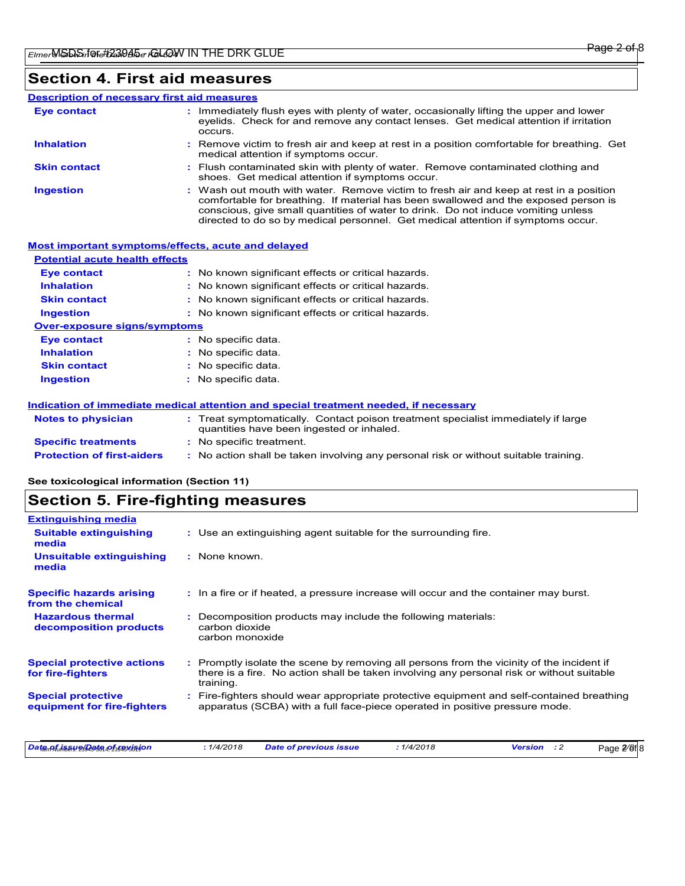### **Section 4. First aid measures**

#### Wash out mouth with water. Remove victim to fresh air and keep at rest in a position comfortable for breathing. If material has been swallowed and the exposed person is conscious, give small quantities of water to drink. Do not induce vomiting unless **:** Immediately flush eyes with plenty of water, occasionally lifting the upper and lower eyelids. Check for and remove any contact lenses. Get medical attention if irritation occurs. Flush contaminated skin with plenty of water. Remove contaminated clothing and **:** shoes. Get medical attention if symptoms occur. Remove victim to fresh air and keep at rest in a position comfortable for breathing. Get **:** medical attention if symptoms occur. **Eye contact Skin contact Inhalation Ingestion : Description of necessary first aid measures**

directed to do so by medical personnel. Get medical attention if symptoms occur.

| <b>Most important symptoms/effects, acute and delayed</b> |                                                                                                                              |
|-----------------------------------------------------------|------------------------------------------------------------------------------------------------------------------------------|
| <b>Potential acute health effects</b>                     |                                                                                                                              |
| Eye contact                                               | : No known significant effects or critical hazards.                                                                          |
| <b>Inhalation</b>                                         | No known significant effects or critical hazards.                                                                            |
| <b>Skin contact</b>                                       | No known significant effects or critical hazards.                                                                            |
| <b>Ingestion</b>                                          | : No known significant effects or critical hazards.                                                                          |
| <b>Over-exposure signs/symptoms</b>                       |                                                                                                                              |
| <b>Eye contact</b>                                        | : No specific data.                                                                                                          |
| <b>Inhalation</b>                                         | : No specific data.                                                                                                          |
| <b>Skin contact</b>                                       | : No specific data.                                                                                                          |
| <b>Ingestion</b>                                          | : No specific data.                                                                                                          |
|                                                           | Indication of immediate medical attention and special treatment needed, if necessary                                         |
| <b>Notes to physician</b>                                 | Treat symptomatically. Contact poison treatment specialist immediately if large<br>quantities have been ingested or inhaled. |
| <b>Specific treatments</b>                                | : No specific treatment.                                                                                                     |
| <b>Protection of first-aiders</b>                         | : No action shall be taken involving any personal risk or without suitable training.                                         |

**See toxicological information (Section 11)**

### **Section 5. Fire-fighting measures**

| <b>Extinguishing media</b>                               |                                                                                                                                                                                                   |
|----------------------------------------------------------|---------------------------------------------------------------------------------------------------------------------------------------------------------------------------------------------------|
| <b>Suitable extinguishing</b><br>media                   | : Use an extinguishing agent suitable for the surrounding fire.                                                                                                                                   |
| Unsuitable extinguishing<br>media                        | : None known.                                                                                                                                                                                     |
| <b>Specific hazards arising</b><br>from the chemical     | : In a fire or if heated, a pressure increase will occur and the container may burst.                                                                                                             |
| <b>Hazardous thermal</b><br>decomposition products       | Decomposition products may include the following materials:<br>carbon dioxide<br>carbon monoxide                                                                                                  |
| <b>Special protective actions</b><br>for fire-fighters   | Promptly isolate the scene by removing all persons from the vicinity of the incident if<br>there is a fire. No action shall be taken involving any personal risk or without suitable<br>training. |
| <b>Special protective</b><br>equipment for fire-fighters | Fire-fighters should wear appropriate protective equipment and self-contained breathing<br>apparatus (SCBA) with a full face-piece operated in positive pressure mode.                            |
| Date of issue Qate of revision                           | : 1/4/2018<br>: 1/4/2018<br><b>Date of previous issue</b><br>$\cdot$ 2<br><b>Version</b><br>Page 2/8f                                                                                             |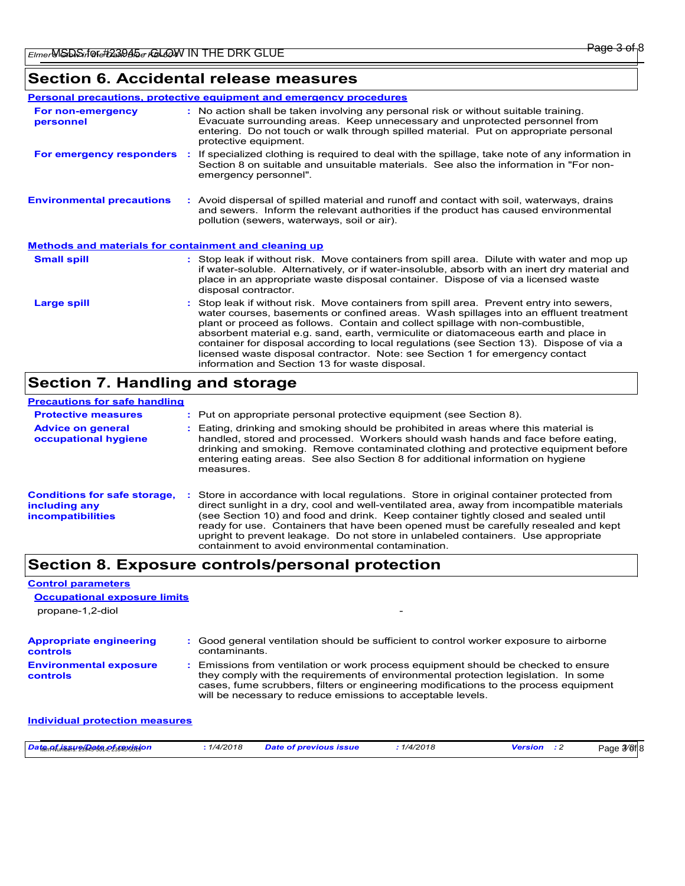### **Section 6. Accidental release measures**

|                                                              |    | Personal precautions, protective equipment and emergency procedures                                                                                                                                                                                                                                                                                                                                                                                                                                                                                                                        |
|--------------------------------------------------------------|----|--------------------------------------------------------------------------------------------------------------------------------------------------------------------------------------------------------------------------------------------------------------------------------------------------------------------------------------------------------------------------------------------------------------------------------------------------------------------------------------------------------------------------------------------------------------------------------------------|
| For non-emergency<br>personnel                               |    | : No action shall be taken involving any personal risk or without suitable training.<br>Evacuate surrounding areas. Keep unnecessary and unprotected personnel from<br>entering. Do not touch or walk through spilled material. Put on appropriate personal<br>protective equipment.                                                                                                                                                                                                                                                                                                       |
| For emergency responders                                     | ÷. | If specialized clothing is required to deal with the spillage, take note of any information in<br>Section 8 on suitable and unsuitable materials. See also the information in "For non-<br>emergency personnel".                                                                                                                                                                                                                                                                                                                                                                           |
| <b>Environmental precautions</b>                             |    | : Avoid dispersal of spilled material and runoff and contact with soil, waterways, drains<br>and sewers. Inform the relevant authorities if the product has caused environmental<br>pollution (sewers, waterways, soil or air).                                                                                                                                                                                                                                                                                                                                                            |
| <b>Methods and materials for containment and cleaning up</b> |    |                                                                                                                                                                                                                                                                                                                                                                                                                                                                                                                                                                                            |
| <b>Small spill</b>                                           |    | : Stop leak if without risk. Move containers from spill area. Dilute with water and mop up<br>if water-soluble. Alternatively, or if water-insoluble, absorb with an inert dry material and<br>place in an appropriate waste disposal container. Dispose of via a licensed waste<br>disposal contractor.                                                                                                                                                                                                                                                                                   |
| Large spill                                                  |    | : Stop leak if without risk. Move containers from spill area. Prevent entry into sewers,<br>water courses, basements or confined areas. Wash spillages into an effluent treatment<br>plant or proceed as follows. Contain and collect spillage with non-combustible,<br>absorbent material e.g. sand, earth, vermiculite or diatomaceous earth and place in<br>container for disposal according to local regulations (see Section 13). Dispose of via a<br>licensed waste disposal contractor. Note: see Section 1 for emergency contact<br>information and Section 13 for waste disposal. |

### **Section 7. Handling and storage**

**Control parameters**

| <b>Precautions for safe handling</b>                                             |                                                                                                                                                                                                                                                                                                                                                                                                                                                                                                             |
|----------------------------------------------------------------------------------|-------------------------------------------------------------------------------------------------------------------------------------------------------------------------------------------------------------------------------------------------------------------------------------------------------------------------------------------------------------------------------------------------------------------------------------------------------------------------------------------------------------|
| <b>Protective measures</b>                                                       | : Put on appropriate personal protective equipment (see Section 8).                                                                                                                                                                                                                                                                                                                                                                                                                                         |
| <b>Advice on general</b><br>occupational hygiene                                 | Eating, drinking and smoking should be prohibited in areas where this material is<br>handled, stored and processed. Workers should wash hands and face before eating.<br>drinking and smoking. Remove contaminated clothing and protective equipment before<br>entering eating areas. See also Section 8 for additional information on hygiene<br>measures.                                                                                                                                                 |
| <b>Conditions for safe storage,</b><br>including any<br><b>incompatibilities</b> | Store in accordance with local regulations. Store in original container protected from<br>direct sunlight in a dry, cool and well-ventilated area, away from incompatible materials<br>(see Section 10) and food and drink. Keep container tightly closed and sealed until<br>ready for use. Containers that have been opened must be carefully resealed and kept<br>upright to prevent leakage. Do not store in unlabeled containers. Use appropriate<br>containment to avoid environmental contamination. |

### **Section 8. Exposure controls/personal protection**

| <b>Occupational exposure limits</b>                                                                                                                                                                                                                                                                                             |
|---------------------------------------------------------------------------------------------------------------------------------------------------------------------------------------------------------------------------------------------------------------------------------------------------------------------------------|
|                                                                                                                                                                                                                                                                                                                                 |
| : Good general ventilation should be sufficient to control worker exposure to airborne<br>contaminants.                                                                                                                                                                                                                         |
| : Emissions from ventilation or work process equipment should be checked to ensure<br>they comply with the requirements of environmental protection legislation. In some<br>cases, fume scrubbers, filters or engineering modifications to the process equipment<br>will be necessary to reduce emissions to acceptable levels. |
| Individual protection measures                                                                                                                                                                                                                                                                                                  |
|                                                                                                                                                                                                                                                                                                                                 |

| Date AL iSSU 23 Asta 05 58 vision<br>1/4/2018 | Date of previous issue | 1/4/2018 | Version | Page 3⁄8fl8 |
|-----------------------------------------------|------------------------|----------|---------|-------------|
|-----------------------------------------------|------------------------|----------|---------|-------------|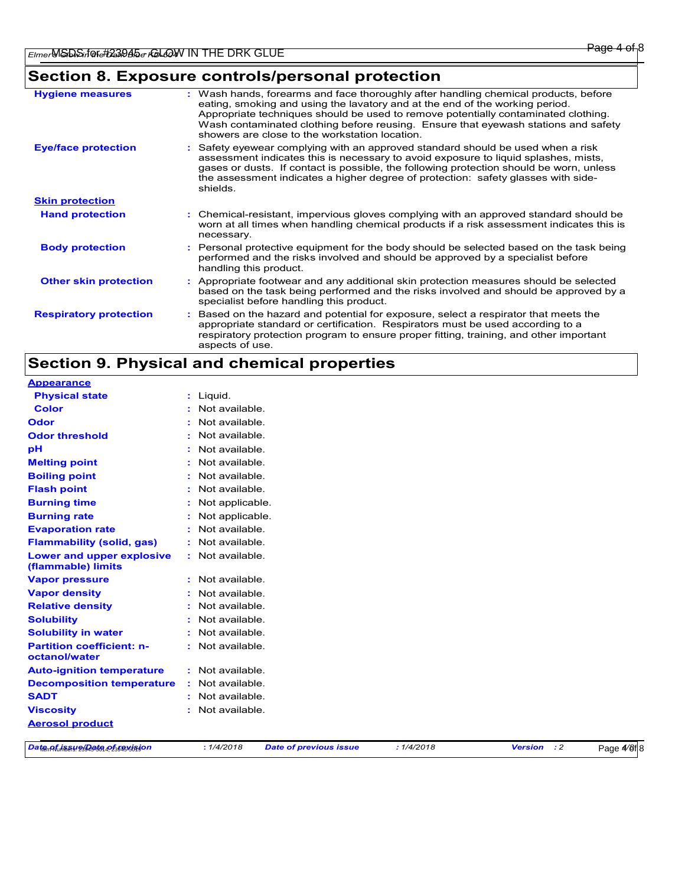## **Section 8. Exposure controls/personal protection**

| <b>Hygiene measures</b>       | : Wash hands, forearms and face thoroughly after handling chemical products, before<br>eating, smoking and using the lavatory and at the end of the working period.<br>Appropriate techniques should be used to remove potentially contaminated clothing.<br>Wash contaminated clothing before reusing. Ensure that eyewash stations and safety<br>showers are close to the workstation location. |
|-------------------------------|---------------------------------------------------------------------------------------------------------------------------------------------------------------------------------------------------------------------------------------------------------------------------------------------------------------------------------------------------------------------------------------------------|
| <b>Eye/face protection</b>    | : Safety eyewear complying with an approved standard should be used when a risk<br>assessment indicates this is necessary to avoid exposure to liquid splashes, mists,<br>gases or dusts. If contact is possible, the following protection should be worn, unless<br>the assessment indicates a higher degree of protection: safety glasses with side-<br>shields.                                |
| <b>Skin protection</b>        |                                                                                                                                                                                                                                                                                                                                                                                                   |
| <b>Hand protection</b>        | : Chemical-resistant, impervious gloves complying with an approved standard should be<br>worn at all times when handling chemical products if a risk assessment indicates this is<br>necessary.                                                                                                                                                                                                   |
| <b>Body protection</b>        | : Personal protective equipment for the body should be selected based on the task being<br>performed and the risks involved and should be approved by a specialist before<br>handling this product.                                                                                                                                                                                               |
| <b>Other skin protection</b>  | : Appropriate footwear and any additional skin protection measures should be selected<br>based on the task being performed and the risks involved and should be approved by a<br>specialist before handling this product.                                                                                                                                                                         |
| <b>Respiratory protection</b> | Based on the hazard and potential for exposure, select a respirator that meets the<br>÷.<br>appropriate standard or certification. Respirators must be used according to a<br>respiratory protection program to ensure proper fitting, training, and other important<br>aspects of use.                                                                                                           |

### **Section 9. Physical and chemical properties**

| <b>Appearance</b>                                      |                             |                  |                               |            |                |             |             |
|--------------------------------------------------------|-----------------------------|------------------|-------------------------------|------------|----------------|-------------|-------------|
| <b>Physical state</b>                                  |                             | : Liquid.        |                               |            |                |             |             |
| <b>Color</b>                                           |                             | Not available.   |                               |            |                |             |             |
| <b>Odor</b>                                            |                             | Not available.   |                               |            |                |             |             |
| <b>Odor threshold</b>                                  |                             | Not available.   |                               |            |                |             |             |
| pH                                                     |                             | Not available.   |                               |            |                |             |             |
| <b>Melting point</b>                                   |                             | Not available.   |                               |            |                |             |             |
| <b>Boiling point</b>                                   |                             | Not available.   |                               |            |                |             |             |
| <b>Flash point</b>                                     |                             | Not available.   |                               |            |                |             |             |
| <b>Burning time</b>                                    |                             | Not applicable.  |                               |            |                |             |             |
| <b>Burning rate</b>                                    |                             | Not applicable.  |                               |            |                |             |             |
| <b>Evaporation rate</b>                                |                             | Not available.   |                               |            |                |             |             |
| <b>Flammability (solid, gas)</b>                       |                             | Not available.   |                               |            |                |             |             |
| <b>Lower and upper explosive</b><br>(flammable) limits |                             | : Not available. |                               |            |                |             |             |
| <b>Vapor pressure</b>                                  |                             | : Not available. |                               |            |                |             |             |
| <b>Vapor density</b>                                   |                             | Not available.   |                               |            |                |             |             |
| <b>Relative density</b>                                |                             | Not available.   |                               |            |                |             |             |
| <b>Solubility</b>                                      |                             | Not available.   |                               |            |                |             |             |
| <b>Solubility in water</b>                             |                             | Not available.   |                               |            |                |             |             |
| <b>Partition coefficient: n-</b><br>octanol/water      |                             | : Not available. |                               |            |                |             |             |
| <b>Auto-ignition temperature</b>                       |                             | : Not available. |                               |            |                |             |             |
| <b>Decomposition temperature</b>                       | $\mathcal{L}_{\mathcal{A}}$ | Not available.   |                               |            |                |             |             |
| <b>SADT</b>                                            |                             | Not available.   |                               |            |                |             |             |
| <b>Viscosity</b>                                       | t                           | Not available.   |                               |            |                |             |             |
| <b>Aerosol product</b>                                 |                             |                  |                               |            |                |             |             |
| Date of issue Qate of revision                         |                             | : 1/4/2018       | <b>Date of previous issue</b> | : 1/4/2018 | <b>Version</b> | $\cdot$ : 2 | Page 4/8f 8 |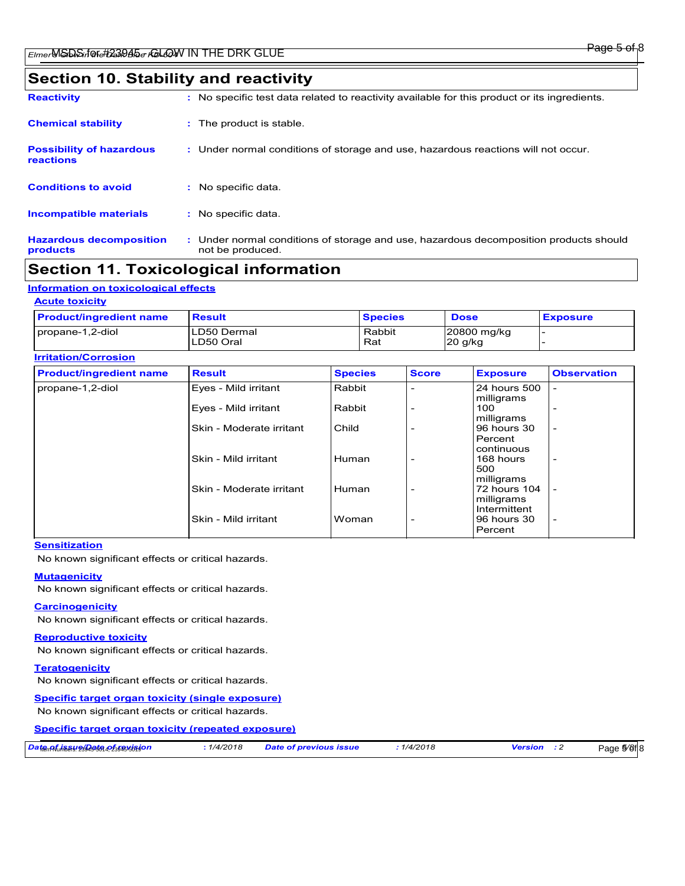### **Section 10. Stability and reactivity**

| <b>Reactivity</b>                            | : No specific test data related to reactivity available for this product or its ingredients.              |
|----------------------------------------------|-----------------------------------------------------------------------------------------------------------|
| <b>Chemical stability</b>                    | : The product is stable.                                                                                  |
| <b>Possibility of hazardous</b><br>reactions | : Under normal conditions of storage and use, hazardous reactions will not occur.                         |
| <b>Conditions to avoid</b>                   | : No specific data.                                                                                       |
| <b>Incompatible materials</b>                | : No specific data.                                                                                       |
| <b>Hazardous decomposition</b><br>products   | : Under normal conditions of storage and use, hazardous decomposition products should<br>not be produced. |

### **Section 11. Toxicological information**

### **Information on toxicological effects**

#### **Acute toxicity**

| <b>Product/ingredient name</b> | <b>Result</b>            | <b>Species</b> | <b>Dose</b>              | <b>Exposure</b> |
|--------------------------------|--------------------------|----------------|--------------------------|-----------------|
| propane-1,2-diol               | LD50 Dermal<br>LD50 Oral | Rabbit<br>Rat  | 20800 mg/kg<br>$20$ g/kg |                 |

#### **Irritation/Corrosion**

| <b>Product/ingredient name</b> | <b>Result</b>            | <b>Species</b> | <b>Score</b>             | <b>Exposure</b>                          | <b>Observation</b>       |
|--------------------------------|--------------------------|----------------|--------------------------|------------------------------------------|--------------------------|
| propane-1,2-diol               | Eyes - Mild irritant     | Rabbit         |                          | 24 hours 500<br>milligrams               |                          |
|                                | Eyes - Mild irritant     | Rabbit         |                          | 100<br>milligrams                        |                          |
|                                | Skin - Moderate irritant | Child          |                          | 96 hours 30<br>Percent                   | $\overline{\phantom{0}}$ |
|                                | Skin - Mild irritant     | Human          | $\overline{\phantom{0}}$ | continuous<br>168 hours<br>500           | $\overline{\phantom{a}}$ |
|                                | Skin - Moderate irritant | Human          | $\overline{\phantom{0}}$ | milligrams<br>72 hours 104<br>milligrams | $\overline{\phantom{0}}$ |
|                                | Skin - Mild irritant     | Woman          | $\overline{\phantom{a}}$ | Intermittent<br>96 hours 30<br>Percent   | $\overline{\phantom{a}}$ |

#### **Sensitization**

No known significant effects or critical hazards.

#### **Mutagenicity**

No known significant effects or critical hazards.

#### **Carcinogenicity**

No known significant effects or critical hazards.

#### **Reproductive toxicity**

No known significant effects or critical hazards.

#### **Teratogenicity**

No known significant effects or critical hazards.

#### **Specific target organ toxicity (single exposure)**

No known significant effects or critical hazards.

#### **Specific target organ toxicity (repeated exposure)**

| Date Afrikası 23 Jata Az stavision | 1/4/2018 | <b>Date of previous issue</b> | 1/4/2018 | Versior | $5/8f$ <sub>8</sub><br>Page |
|------------------------------------|----------|-------------------------------|----------|---------|-----------------------------|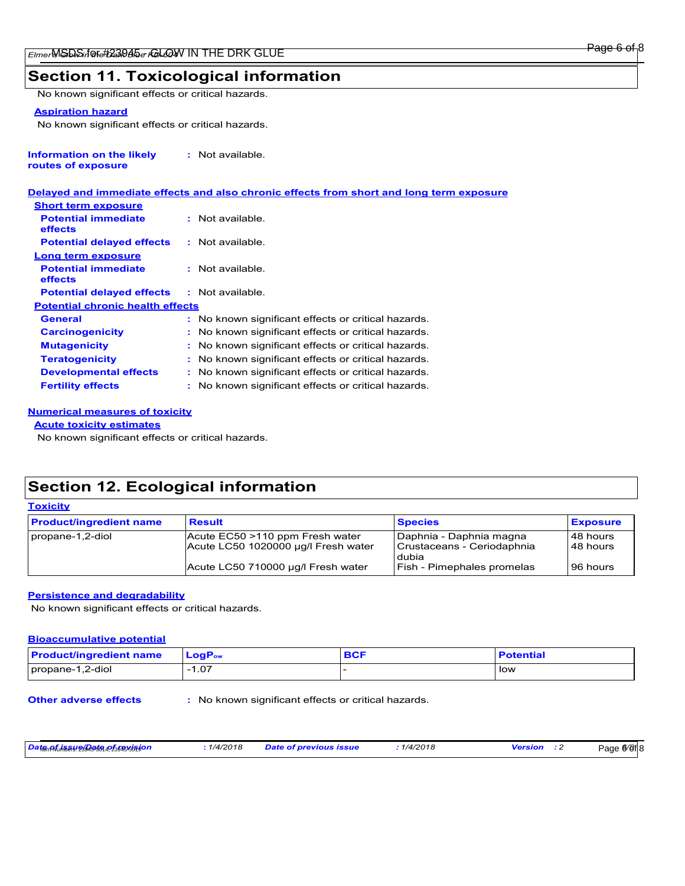#### Page 6 of 8

### **Section 11. Toxicological information**

No known significant effects or critical hazards.

#### **Aspiration hazard**

No known significant effects or critical hazards.

| Information on the likely | : Not available. |
|---------------------------|------------------|
| routes of exposure        |                  |

#### **Delayed and immediate effects and also chronic effects from short and long term exposure**

| <b>Short term exposure</b>              |                                                     |
|-----------------------------------------|-----------------------------------------------------|
| <b>Potential immediate</b><br>effects   | : Not available.                                    |
| <b>Potential delayed effects</b>        | : Not available.                                    |
| Long term exposure                      |                                                     |
| <b>Potential immediate</b><br>effects   | : Not available.                                    |
| <b>Potential delayed effects</b>        | : Not available.                                    |
| <b>Potential chronic health effects</b> |                                                     |
| General                                 | : No known significant effects or critical hazards. |
| <b>Carcinogenicity</b>                  | : No known significant effects or critical hazards. |
| <b>Mutagenicity</b>                     | : No known significant effects or critical hazards. |
| <b>Teratogenicity</b>                   | : No known significant effects or critical hazards. |
| <b>Developmental effects</b>            | : No known significant effects or critical hazards. |
| <b>Fertility effects</b>                | : No known significant effects or critical hazards. |

#### **Numerical measures of toxicity**

#### **Acute toxicity estimates**

No known significant effects or critical hazards.

### **Section 12. Ecological information**

| <b>Toxicity</b>                |                                                                        |                                                                |                         |  |  |
|--------------------------------|------------------------------------------------------------------------|----------------------------------------------------------------|-------------------------|--|--|
| <b>Product/ingredient name</b> | <b>Result</b>                                                          | <b>Species</b>                                                 | <b>Exposure</b>         |  |  |
| propane-1,2-diol               | Acute EC50 >110 ppm Fresh water<br>Acute LC50 1020000 µg/l Fresh water | Daphnia - Daphnia magna<br>Crustaceans - Ceriodaphnia<br>dubia | l 48 hours<br>148 hours |  |  |
|                                | Acute LC50 710000 µg/l Fresh water                                     | <b>Fish - Pimephales promelas</b>                              | l 96 hours              |  |  |

#### **Persistence and degradability**

No known significant effects or critical hazards.

#### **Bioaccumulative potential**

| <b>Product/ingredient name</b> | $LogP_{ow}$ | <b>BCF</b> | <b>Potential</b> |
|--------------------------------|-------------|------------|------------------|
| propane-1,2-diol               | -1.07       |            | low              |

**Other adverse effects :** No known significant effects or critical hazards.

| <mark>Date<sub>n</sub> Af<sub>u</sub>h Bay olaaf a Afstelsia jo n</mark> |
|--------------------------------------------------------------------------|
|--------------------------------------------------------------------------|

*Date of issue/Date of revision* Item Numbers: 23945-5014, 23945-5019 **:** *1/4/2018 Date of previous issue : 1/4/2018 Version : 2*

Page <sup>6</sup>/8<sup>1</sup>8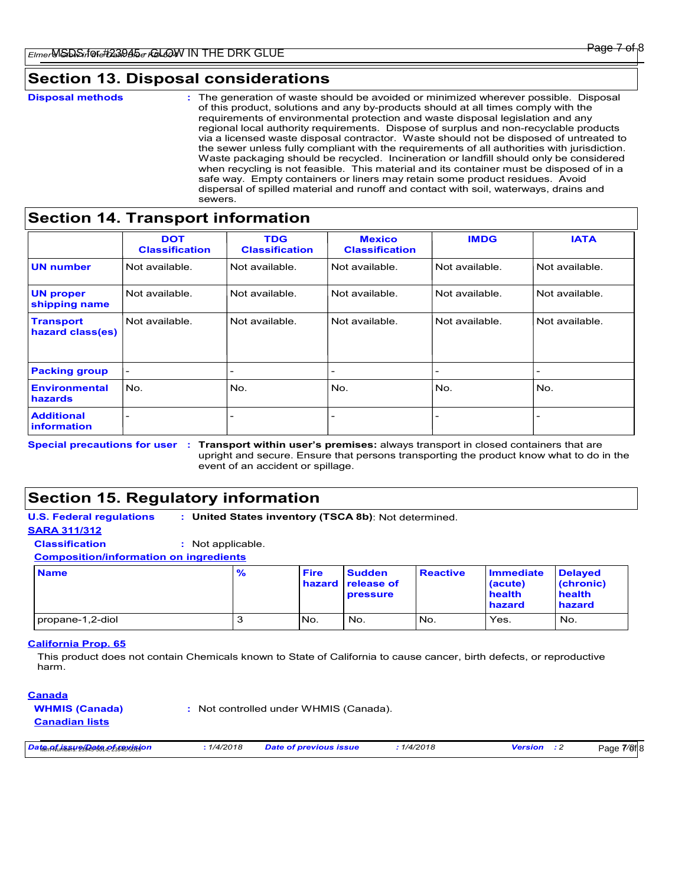#### Page 7

### **Section 13. Disposal considerations**

| <b>Disposal methods</b> | : The generation of waste should be avoided or minimized wherever possible. Disposal<br>of this product, solutions and any by-products should at all times comply with the<br>requirements of environmental protection and waste disposal legislation and any<br>regional local authority requirements. Dispose of surplus and non-recyclable products<br>via a licensed waste disposal contractor. Waste should not be disposed of untreated to<br>the sewer unless fully compliant with the requirements of all authorities with jurisdiction. |
|-------------------------|--------------------------------------------------------------------------------------------------------------------------------------------------------------------------------------------------------------------------------------------------------------------------------------------------------------------------------------------------------------------------------------------------------------------------------------------------------------------------------------------------------------------------------------------------|
|                         | Waste packaging should be recycled. Incineration or landfill should only be considered<br>when recycling is not feasible. This material and its container must be disposed of in a<br>safe way. Empty containers or liners may retain some product residues. Avoid<br>dispersal of spilled material and runoff and contact with soil, waterways, drains and<br>sewers.                                                                                                                                                                           |

### **Section 14. Transport information**

|                                      | <b>DOT</b><br><b>Classification</b> | <b>TDG</b><br><b>Classification</b> | <b>Mexico</b><br><b>Classification</b> | <b>IMDG</b>    | <b>IATA</b>    |
|--------------------------------------|-------------------------------------|-------------------------------------|----------------------------------------|----------------|----------------|
| <b>UN number</b>                     | Not available.                      | Not available.                      | Not available.                         | Not available. | Not available. |
| <b>UN proper</b><br>shipping name    | Not available.                      | Not available.                      | Not available.                         | Not available. | Not available. |
| <b>Transport</b><br>hazard class(es) | Not available.                      | Not available.                      | Not available.                         | Not available. | Not available. |
| <b>Packing group</b>                 | $\qquad \qquad$                     | $\overline{\phantom{0}}$            | $\overline{\phantom{0}}$               |                |                |
| <b>Environmental</b><br>hazards      | No.                                 | No.                                 | No.                                    | No.            | No.            |
| <b>Additional</b><br>information     |                                     | -                                   | $\overline{\phantom{0}}$               |                |                |

Special precautions for user : Transport within user's premises: always transport in closed containers that are upright and secure. Ensure that persons transporting the product know what to do in the event of an accident or spillage.

### **Section 15. Regulatory information**

#### **U.S. Federal regulations : United States inventory (TSCA 8b)**: Not determined. **SARA 311/312**

**Classification :** Not applicable.

**Composition/information on ingredients**

| <b>Name</b>        | % | <b>Fire</b>     | <b>Sudden</b><br>hazard release of<br><b>pressure</b> | <b>Reactive</b> | <b>Immediate</b><br>(acute)<br>health<br>hazard | <b>Delayed</b><br>(chronic)<br>health<br>hazard |
|--------------------|---|-----------------|-------------------------------------------------------|-----------------|-------------------------------------------------|-------------------------------------------------|
| I propane-1,2-diol |   | IN <sub>o</sub> | No.                                                   | No.             | Yes.                                            | No.                                             |

#### **California Prop. 65**

This product does not contain Chemicals known to State of California to cause cancer, birth defects, or reproductive harm.

#### **Canada**

**WHMIS (Canada) Canadian lists**

Not controlled under WHMIS (Canada). **:**

*Date of issue/Date of revision* Item Numbers: 23945-5014, 23945-5019 **:** *1/4/2018 Date of previous issue : 1/4/2018 Version : 2*

Page 7/8<sup>f</sup> 8